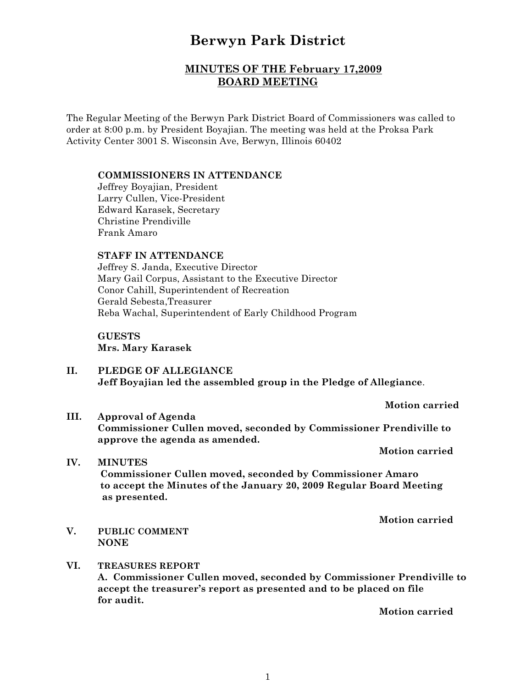# **Berwyn Park District**

# **MINUTES OF THE February 17,2009 BOARD MEETING**

The Regular Meeting of the Berwyn Park District Board of Commissioners was called to order at 8:00 p.m. by President Boyajian. The meeting was held at the Proksa Park Activity Center 3001 S. Wisconsin Ave, Berwyn, Illinois 60402

#### **COMMISSIONERS IN ATTENDANCE**

Jeffrey Boyajian, President Larry Cullen, Vice-President Edward Karasek, Secretary Christine Prendiville Frank Amaro

# **STAFF IN ATTENDANCE**

Jeffrey S. Janda, Executive Director Mary Gail Corpus, Assistant to the Executive Director Conor Cahill, Superintendent of Recreation Gerald Sebesta,Treasurer Reba Wachal, Superintendent of Early Childhood Program

# **GUESTS Mrs. Mary Karasek**

**II. PLEDGE OF ALLEGIANCE Jeff Boyajian led the assembled group in the Pledge of Allegiance**.

**Motion carried**

**III. Approval of Agenda Commissioner Cullen moved, seconded by Commissioner Prendiville to approve the agenda as amended.**

**Motion carried**

**IV. MINUTES Commissioner Cullen moved, seconded by Commissioner Amaro to accept the Minutes of the January 20, 2009 Regular Board Meeting as presented.**

**Motion carried**

**V. PUBLIC COMMENT NONE**

# **VI. TREASURES REPORT A. Commissioner Cullen moved, seconded by Commissioner Prendiville to accept the treasurer's report as presented and to be placed on file for audit.**

**Motion carried**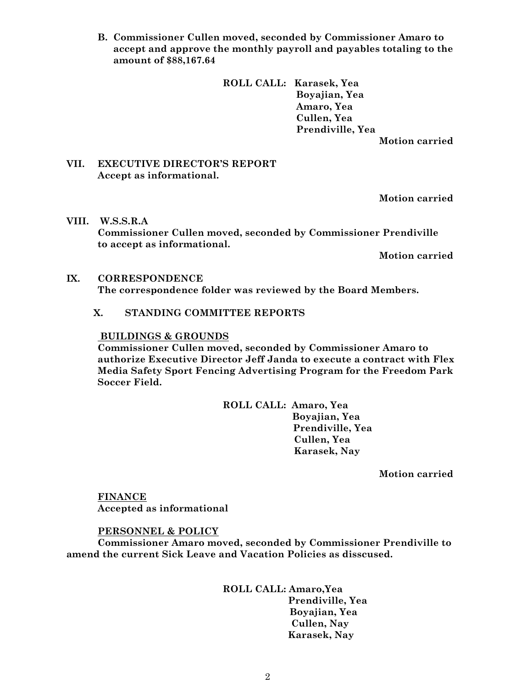**B. Commissioner Cullen moved, seconded by Commissioner Amaro to accept and approve the monthly payroll and payables totaling to the amount of \$88,167.64**

> **ROLL CALL: Karasek, Yea Boyajian, Yea Amaro, Yea Cullen, Yea Prendiville, Yea Motion carried**

#### **VII. EXECUTIVE DIRECTOR'S REPORT Accept as informational.**

**Motion carried**

**VIII. W.S.S.R.A Commissioner Cullen moved, seconded by Commissioner Prendiville to accept as informational.**

**Motion carried**

#### **IX. CORRESPONDENCE**

**The correspondence folder was reviewed by the Board Members.**

# **X. STANDING COMMITTEE REPORTS**

#### **BUILDINGS & GROUNDS**

**Commissioner Cullen moved, seconded by Commissioner Amaro to authorize Executive Director Jeff Janda to execute a contract with Flex Media Safety Sport Fencing Advertising Program for the Freedom Park Soccer Field.**

> **ROLL CALL: Amaro, Yea Boyajian, Yea**

 **Prendiville, Yea Cullen, Yea Karasek, Nay**

**Motion carried**

**FINANCE Accepted as informational**

# **PERSONNEL & POLICY**

**Commissioner Amaro moved, seconded by Commissioner Prendiville to amend the current Sick Leave and Vacation Policies as disscused.**

# **ROLL CALL: Amaro,Yea**

 **Prendiville, Yea Boyajian, Yea Cullen, Nay Karasek, Nay**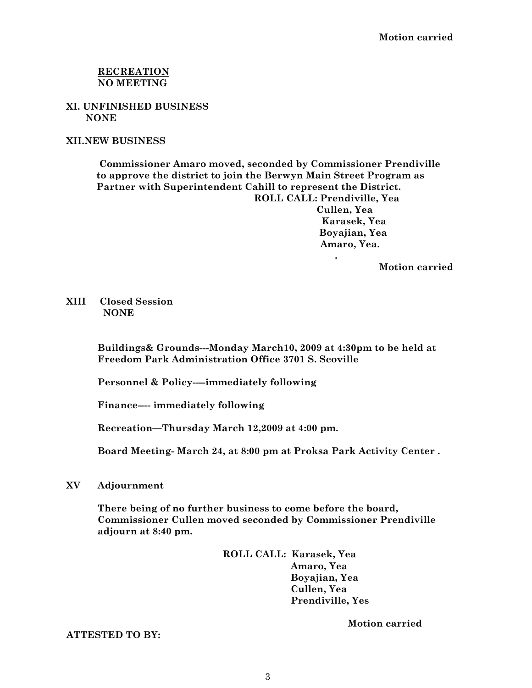# **RECREATION NO MEETING**

**XI. UNFINISHED BUSINESS NONE**

**XII.NEW BUSINESS**

 **Commissioner Amaro moved, seconded by Commissioner Prendiville to approve the district to join the Berwyn Main Street Program as Partner with Superintendent Cahill to represent the District. ROLL CALL: Prendiville, Yea Cullen, Yea Karasek, Yea Boyajian, Yea Amaro, Yea.**

**Motion carried**

**XIII Closed Session NONE**

> **Buildings& Grounds---Monday March10, 2009 at 4:30pm to be held at Freedom Park Administration Office 3701 S. Scoville**

**Personnel & Policy----immediately following**

 **.** 

**Finance---- immediately following**

**Recreation—Thursday March 12,2009 at 4:00 pm.**

**Board Meeting- March 24, at 8:00 pm at Proksa Park Activity Center .**

#### **XV Adjournment**

**There being of no further business to come before the board, Commissioner Cullen moved seconded by Commissioner Prendiville adjourn at 8:40 pm.**

> **ROLL CALL: Karasek, Yea Amaro, Yea Boyajian, Yea Cullen, Yea Prendiville, Yes**

> > **Motion carried**

**ATTESTED TO BY:**